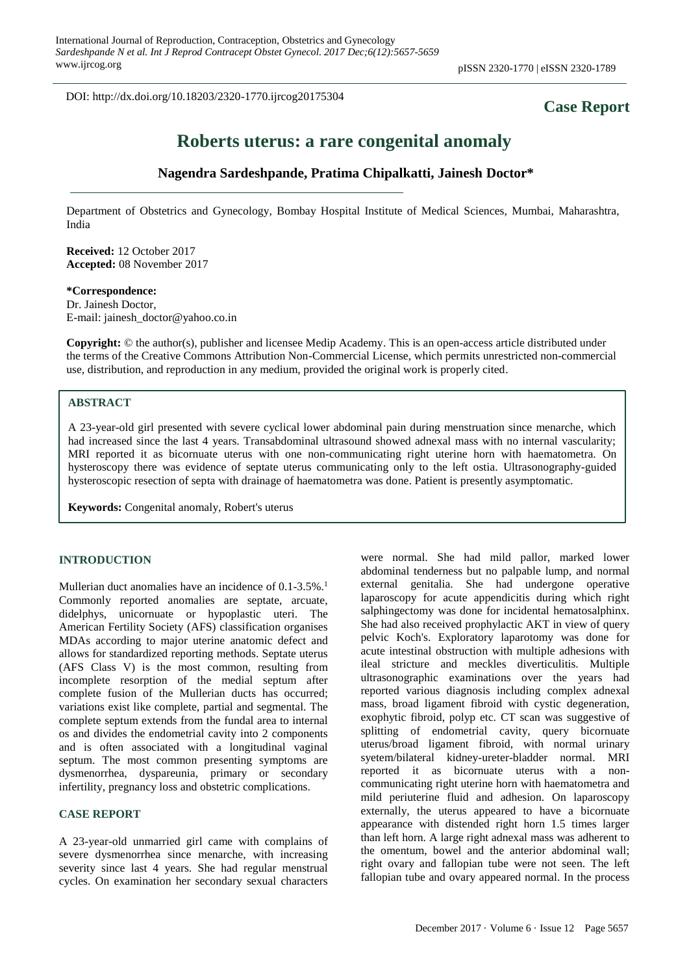DOI: http://dx.doi.org/10.18203/2320-1770.ijrcog20175304

# **Case Report**

# **Roberts uterus: a rare congenital anomaly**

# **Nagendra Sardeshpande, Pratima Chipalkatti, Jainesh Doctor\***

Department of Obstetrics and Gynecology, Bombay Hospital Institute of Medical Sciences, Mumbai, Maharashtra, India

**Received:** 12 October 2017 **Accepted:** 08 November 2017

**\*Correspondence:** Dr. Jainesh Doctor,

E-mail: jainesh\_doctor@yahoo.co.in

**Copyright:** © the author(s), publisher and licensee Medip Academy. This is an open-access article distributed under the terms of the Creative Commons Attribution Non-Commercial License, which permits unrestricted non-commercial use, distribution, and reproduction in any medium, provided the original work is properly cited.

# **ABSTRACT**

A 23-year-old girl presented with severe cyclical lower abdominal pain during menstruation since menarche, which had increased since the last 4 years. Transabdominal ultrasound showed adnexal mass with no internal vascularity; MRI reported it as bicornuate uterus with one non-communicating right uterine horn with haematometra. On hysteroscopy there was evidence of septate uterus communicating only to the left ostia. Ultrasonography-guided hysteroscopic resection of septa with drainage of haematometra was done. Patient is presently asymptomatic.

**Keywords:** Congenital anomaly, Robert's uterus

#### **INTRODUCTION**

Mullerian duct anomalies have an incidence of 0.1-3.5%.<sup>1</sup> Commonly reported anomalies are septate, arcuate, didelphys, unicornuate or hypoplastic uteri. The American Fertility Society (AFS) classification organises MDAs according to major uterine anatomic defect and allows for standardized reporting methods. Septate uterus (AFS Class V) is the most common, resulting from incomplete resorption of the medial septum after complete fusion of the Mullerian ducts has occurred; variations exist like complete, partial and segmental. The complete septum extends from the fundal area to internal os and divides the endometrial cavity into 2 components and is often associated with a longitudinal vaginal septum. The most common presenting symptoms are dysmenorrhea, dyspareunia, primary or secondary infertility, pregnancy loss and obstetric complications.

#### **CASE REPORT**

A 23-year-old unmarried girl came with complains of severe dysmenorrhea since menarche, with increasing severity since last 4 years. She had regular menstrual cycles. On examination her secondary sexual characters were normal. She had mild pallor, marked lower abdominal tenderness but no palpable lump, and normal external genitalia. She had undergone operative laparoscopy for acute appendicitis during which right salphingectomy was done for incidental hematosalphinx. She had also received prophylactic AKT in view of query pelvic Koch's. Exploratory laparotomy was done for acute intestinal obstruction with multiple adhesions with ileal stricture and meckles diverticulitis. Multiple ultrasonographic examinations over the years had reported various diagnosis including complex adnexal mass, broad ligament fibroid with cystic degeneration, exophytic fibroid, polyp etc. CT scan was suggestive of splitting of endometrial cavity, query bicornuate uterus/broad ligament fibroid, with normal urinary syetem/bilateral kidney-ureter-bladder normal. MRI reported it as bicornuate uterus with a noncommunicating right uterine horn with haematometra and mild periuterine fluid and adhesion. On laparoscopy externally, the uterus appeared to have a bicornuate appearance with distended right horn 1.5 times larger than left horn. A large right adnexal mass was adherent to the omentum, bowel and the anterior abdominal wall; right ovary and fallopian tube were not seen. The left fallopian tube and ovary appeared normal. In the process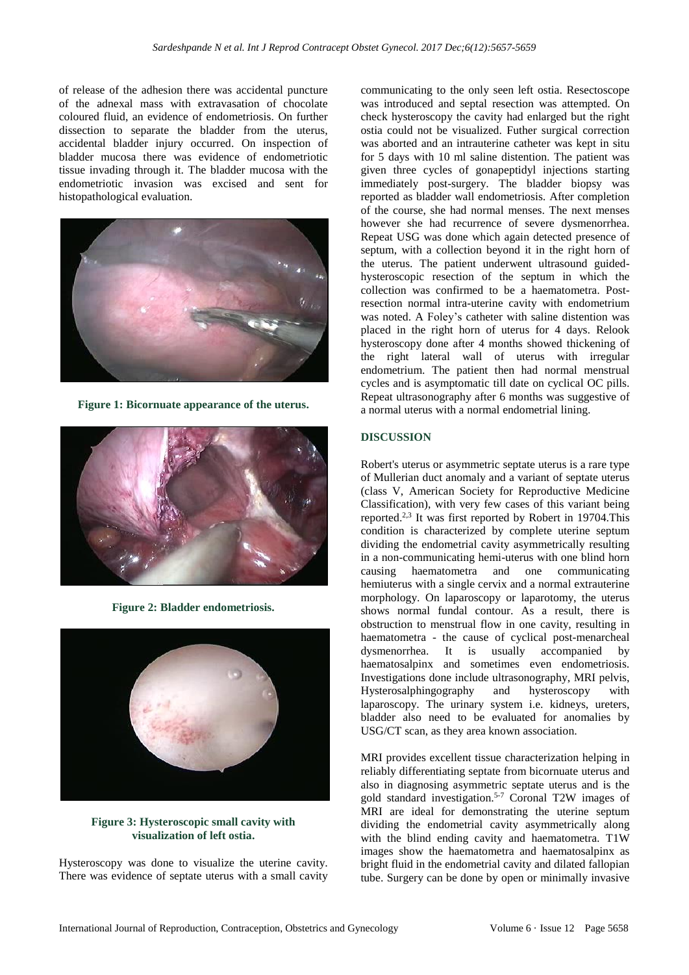of release of the adhesion there was accidental puncture of the adnexal mass with extravasation of chocolate coloured fluid, an evidence of endometriosis. On further dissection to separate the bladder from the uterus, accidental bladder injury occurred. On inspection of bladder mucosa there was evidence of endometriotic tissue invading through it. The bladder mucosa with the endometriotic invasion was excised and sent for histopathological evaluation.



**Figure 1: Bicornuate appearance of the uterus.**



**Figure 2: Bladder endometriosis.**



**Figure 3: Hysteroscopic small cavity with visualization of left ostia.**

Hysteroscopy was done to visualize the uterine cavity. There was evidence of septate uterus with a small cavity communicating to the only seen left ostia. Resectoscope was introduced and septal resection was attempted. On check hysteroscopy the cavity had enlarged but the right ostia could not be visualized. Futher surgical correction was aborted and an intrauterine catheter was kept in situ for 5 days with 10 ml saline distention. The patient was given three cycles of gonapeptidyl injections starting immediately post-surgery. The bladder biopsy was reported as bladder wall endometriosis. After completion of the course, she had normal menses. The next menses however she had recurrence of severe dysmenorrhea. Repeat USG was done which again detected presence of septum, with a collection beyond it in the right horn of the uterus. The patient underwent ultrasound guidedhysteroscopic resection of the septum in which the collection was confirmed to be a haematometra. Postresection normal intra-uterine cavity with endometrium was noted. A Foley's catheter with saline distention was placed in the right horn of uterus for 4 days. Relook hysteroscopy done after 4 months showed thickening of the right lateral wall of uterus with irregular endometrium. The patient then had normal menstrual cycles and is asymptomatic till date on cyclical OC pills. Repeat ultrasonography after 6 months was suggestive of a normal uterus with a normal endometrial lining.

## **DISCUSSION**

Robert's uterus or asymmetric septate uterus is a rare type of Mullerian duct anomaly and a variant of septate uterus (class V, American Society for Reproductive Medicine Classification), with very few cases of this variant being reported.<sup>2,3</sup> It was first reported by Robert in 19704. This condition is characterized by complete uterine septum dividing the endometrial cavity asymmetrically resulting in a non-communicating hemi-uterus with one blind horn causing haematometra and one communicating hemiuterus with a single cervix and a normal extrauterine morphology. On laparoscopy or laparotomy, the uterus shows normal fundal contour. As a result, there is obstruction to menstrual flow in one cavity, resulting in haematometra - the cause of cyclical post-menarcheal dysmenorrhea. It is usually accompanied by haematosalpinx and sometimes even endometriosis. Investigations done include ultrasonography, MRI pelvis, Hysterosalphingography and hysteroscopy with laparoscopy. The urinary system i.e. kidneys, ureters, bladder also need to be evaluated for anomalies by USG/CT scan, as they area known association.

MRI provides excellent tissue characterization helping in reliably differentiating septate from bicornuate uterus and also in diagnosing asymmetric septate uterus and is the gold standard investigation. 5-7 Coronal T2W images of MRI are ideal for demonstrating the uterine septum dividing the endometrial cavity asymmetrically along with the blind ending cavity and haematometra. T1W images show the haematometra and haematosalpinx as bright fluid in the endometrial cavity and dilated fallopian tube. Surgery can be done by open or minimally invasive